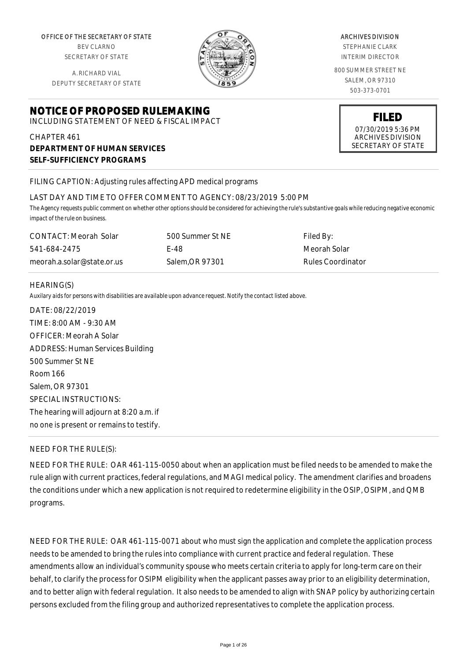OFFICE OF THE SECRETARY OF STATE

BEV CLARNO SECRETARY OF STATE

A. RICHARD VIAL DEPUTY SECRETARY OF STATE

# **NOTICE OF PROPOSED RULEMAKING**

INCLUDING STATEMENT OF NEED & FISCAL IMPACT

# CHAPTER 461 **DEPARTMENT OF HUMAN SERVICES SELF-SUFFICIENCY PROGRAMS**

FILING CAPTION: Adjusting rules affecting APD medical programs

#### LAST DAY AND TIME TO OFFER COMMENT TO AGENCY: 08/23/2019 5:00 PM

*The Agency requests public comment on whether other options should be considered for achieving the rule's substantive goals while reducing negative economic impact of the rule on business.*

| CONTACT: Meorah Solar      | 500 Summer St NE | Filed By:         |
|----------------------------|------------------|-------------------|
| 541-684-2475               | F-48             | Meorah Solar      |
| meorah.a.solar@state.or.us | Salem.OR 97301   | Rules Coordinator |

#### HEARING(S)

*Auxilary aids for persons with disabilities are available upon advance request. Notify the contact listed above.*

DATE: 08/22/2019 TIME: 8:00 AM - 9:30 AM OFFICER: Meorah A Solar ADDRESS: Human Services Building 500 Summer St NE Room 166 Salem, OR 97301 SPECIAL INSTRUCTIONS: The hearing will adjourn at 8:20 a.m. if no one is present or remains to testify.

# NEED FOR THE RULE(S):

NEED FOR THE RULE: OAR 461-115-0050 about when an application must be filed needs to be amended to make the rule align with current practices, federal regulations, and MAGI medical policy. The amendment clarifies and broadens the conditions under which a new application is not required to redetermine eligibility in the OSIP, OSIPM, and QMB programs.

NEED FOR THE RULE: OAR 461-115-0071 about who must sign the application and complete the application process needs to be amended to bring the rules into compliance with current practice and federal regulation. These amendments allow an individual's community spouse who meets certain criteria to apply for long-term care on their behalf, to clarify the process for OSIPM eligibility when the applicant passes away prior to an eligibility determination, and to better align with federal regulation. It also needs to be amended to align with SNAP policy by authorizing certain persons excluded from the filing group and authorized representatives to complete the application process.

#### ARCHIVES DIVISION

STEPHANIE CLARK INTERIM DIRECTOR

800 SUMMER STREET NE SALEM, OR 97310 503-373-0701



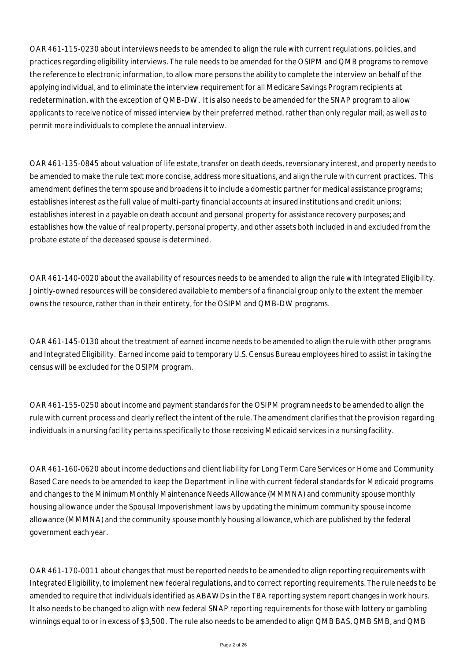OAR 461-115-0230 about interviews needs to be amended to align the rule with current regulations, policies, and practices regarding eligibility interviews. The rule needs to be amended for the OSIPM and QMB programs to remove the reference to electronic information, to allow more persons the ability to complete the interview on behalf of the applying individual, and to eliminate the interview requirement for all Medicare Savings Program recipients at redetermination, with the exception of QMB-DW. It is also needs to be amended for the SNAP program to allow applicants to receive notice of missed interview by their preferred method, rather than only regular mail; as well as to permit more individuals to complete the annual interview.

OAR 461-135-0845 about valuation of life estate, transfer on death deeds, reversionary interest, and property needs to be amended to make the rule text more concise, address more situations, and align the rule with current practices. This amendment defines the term spouse and broadens it to include a domestic partner for medical assistance programs; establishes interest as the full value of multi-party financial accounts at insured institutions and credit unions; establishes interest in a payable on death account and personal property for assistance recovery purposes; and establishes how the value of real property, personal property, and other assets both included in and excluded from the probate estate of the deceased spouse is determined.

OAR 461-140-0020 about the availability of resources needs to be amended to align the rule with Integrated Eligibility. Jointly-owned resources will be considered available to members of a financial group only to the extent the member owns the resource, rather than in their entirety, for the OSIPM and QMB-DW programs.

OAR 461-145-0130 about the treatment of earned income needs to be amended to align the rule with other programs and Integrated Eligibility. Earned income paid to temporary U.S. Census Bureau employees hired to assist in taking the census will be excluded for the OSIPM program.

OAR 461-155-0250 about income and payment standards for the OSIPM program needs to be amended to align the rule with current process and clearly reflect the intent of the rule. The amendment clarifies that the provision regarding individuals in a nursing facility pertains specifically to those receiving Medicaid services in a nursing facility.

OAR 461-160-0620 about income deductions and client liability for Long Term Care Services or Home and Community Based Care needs to be amended to keep the Department in line with current federal standards for Medicaid programs and changes to the Minimum Monthly Maintenance Needs Allowance (MMMNA) and community spouse monthly housing allowance under the Spousal Impoverishment laws by updating the minimum community spouse income allowance (MMMNA) and the community spouse monthly housing allowance, which are published by the federal government each year.

OAR 461-170-0011 about changes that must be reported needs to be amended to align reporting requirements with Integrated Eligibility, to implement new federal regulations, and to correct reporting requirements. The rule needs to be amended to require that individuals identified as ABAWDs in the TBA reporting system report changes in work hours. It also needs to be changed to align with new federal SNAP reporting requirements for those with lottery or gambling winnings equal to or in excess of \$3,500. The rule also needs to be amended to align QMB BAS, QMB SMB, and QMB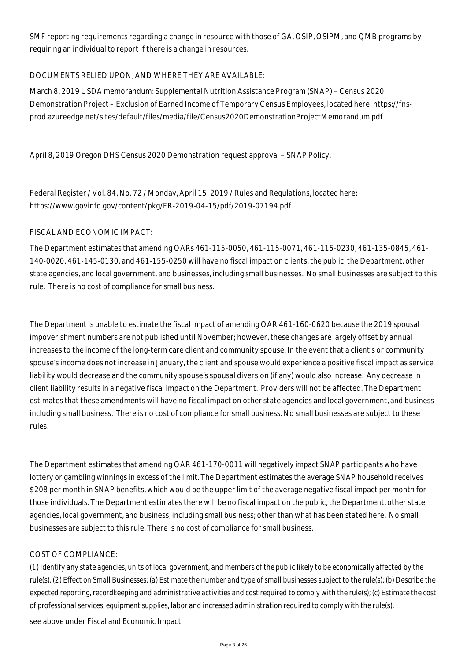SMF reporting requirements regarding a change in resource with those of GA, OSIP, OSIPM, and QMB programs by requiring an individual to report if there is a change in resources.

# DOCUMENTS RELIED UPON, AND WHERE THEY ARE AVAILABLE:

March 8, 2019 USDA memorandum: Supplemental Nutrition Assistance Program (SNAP) – Census 2020 Demonstration Project – Exclusion of Earned Income of Temporary Census Employees, located here: https://fnsprod.azureedge.net/sites/default/files/media/file/Census2020DemonstrationProjectMemorandum.pdf

April 8, 2019 Oregon DHS Census 2020 Demonstration request approval – SNAP Policy.

Federal Register / Vol. 84, No. 72 / Monday, April 15, 2019 / Rules and Regulations, located here: https://www.govinfo.gov/content/pkg/FR-2019-04-15/pdf/2019-07194.pdf

# FISCAL AND ECONOMIC IMPACT:

The Department estimates that amending OARs 461-115-0050, 461-115-0071, 461-115-0230, 461-135-0845, 461- 140-0020, 461-145-0130, and 461-155-0250 will have no fiscal impact on clients, the public, the Department, other state agencies, and local government, and businesses, including small businesses. No small businesses are subject to this rule. There is no cost of compliance for small business.

The Department is unable to estimate the fiscal impact of amending OAR 461-160-0620 because the 2019 spousal impoverishment numbers are not published until November; however, these changes are largely offset by annual increases to the income of the long-term care client and community spouse. In the event that a client's or community spouse's income does not increase in January, the client and spouse would experience a positive fiscal impact as service liability would decrease and the community spouse's spousal diversion (if any) would also increase. Any decrease in client liability results in a negative fiscal impact on the Department. Providers will not be affected. The Department estimates that these amendments will have no fiscal impact on other state agencies and local government, and business including small business. There is no cost of compliance for small business. No small businesses are subject to these rules.

The Department estimates that amending OAR 461-170-0011 will negatively impact SNAP participants who have lottery or gambling winnings in excess of the limit. The Department estimates the average SNAP household receives \$208 per month in SNAP benefits, which would be the upper limit of the average negative fiscal impact per month for those individuals. The Department estimates there will be no fiscal impact on the public, the Department, other state agencies, local government, and business, including small business; other than what has been stated here. No small businesses are subject to this rule. There is no cost of compliance for small business.

# COST OF COMPLIANCE:

*(1) Identify any state agencies, units of local government, and members of the public likely to be economically affected by the rule(s). (2) Effect on Small Businesses: (a) Estimate the number and type of small businesses subject to the rule(s); (b) Describe the expected reporting, recordkeeping and administrative activities and cost required to comply with the rule(s); (c) Estimate the cost of professional services, equipment supplies, labor and increased administration required to comply with the rule(s).*

see above under Fiscal and Economic Impact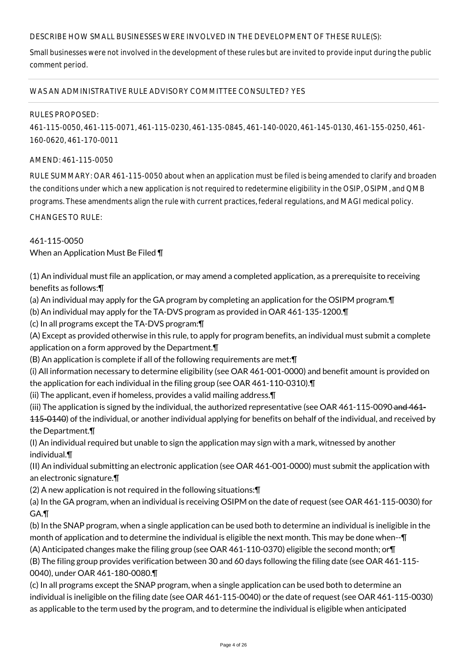# DESCRIBE HOW SMALL BUSINESSES WERE INVOLVED IN THE DEVELOPMENT OF THESE RULE(S):

Small businesses were not involved in the development of these rules but are invited to provide input during the public comment period.

#### WAS AN ADMINISTRATIVE RULE ADVISORY COMMITTEE CONSULTED? YES

#### RULES PROPOSED:

461-115-0050, 461-115-0071, 461-115-0230, 461-135-0845, 461-140-0020, 461-145-0130, 461-155-0250, 461- 160-0620, 461-170-0011

#### AMEND: 461-115-0050

RULE SUMMARY: OAR 461-115-0050 about when an application must be filed is being amended to clarify and broaden the conditions under which a new application is not required to redetermine eligibility in the OSIP, OSIPM, and QMB programs. These amendments align the rule with current practices, federal regulations, and MAGI medical policy.

CHANGES TO RULE:

# 461-115-0050

When an Application Must Be Filed ¶

(1) An individual must file an application, or may amend a completed application, as a prerequisite to receiving benefits as follows:¶

(a) An individual may apply for the GA program by completing an application for the OSIPM program.¶

(b) An individual may apply for the TA-DVS program as provided in OAR 461-135-1200.¶

(c) In all programs except the TA-DVS program:¶

(A) Except as provided otherwise in this rule, to apply for program benefits, an individual must submit a complete application on a form approved by the Department.¶

(B) An application is complete if all of the following requirements are met:¶

(i) All information necessary to determine eligibility (see OAR 461-001-0000) and benefit amount is provided on the application for each individual in the filing group (see OAR 461-110-0310).¶

(ii) The applicant, even if homeless, provides a valid mailing address.¶

(iii) The application is signed by the individual, the authorized representative (see OAR 461-115-0090 and 461-

115-0140) of the individual, or another individual applying for benefits on behalf of the individual, and received by the Department.¶

(I) An individual required but unable to sign the application may sign with a mark, witnessed by another individual.¶

(II) An individual submitting an electronic application (see OAR 461-001-0000) must submit the application with an electronic signature.¶

(2) A new application is not required in the following situations:¶

(a) In the GA program, when an individual is receiving OSIPM on the date of request (see OAR 461-115-0030) for GA.¶

(b) In the SNAP program, when a single application can be used both to determine an individual is ineligible in the month of application and to determine the individual is eligible the next month. This may be done when--¶

(A) Anticipated changes make the filing group (see OAR 461-110-0370) eligible the second month; or¶

(B) The filing group provides verification between 30 and 60 days following the filing date (see OAR 461-115- 0040), under OAR 461-180-0080.¶

(c) In all programs except the SNAP program, when a single application can be used both to determine an individual is ineligible on the filing date (see OAR 461-115-0040) or the date of request (see OAR 461-115-0030) as applicable to the term used by the program, and to determine the individual is eligible when anticipated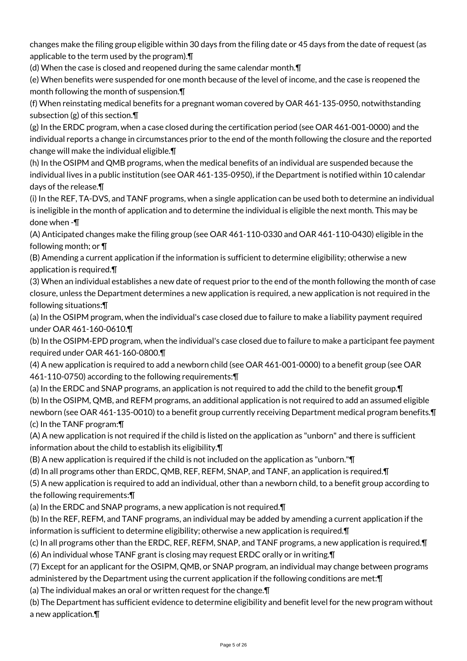changes make the filing group eligible within 30 days from the filing date or 45 days from the date of request (as applicable to the term used by the program).¶

(d) When the case is closed and reopened during the same calendar month.¶

(e) When benefits were suspended for one month because of the level of income, and the case is reopened the month following the month of suspension.¶

(f) When reinstating medical benefits for a pregnant woman covered by OAR 461-135-0950, notwithstanding subsection (g) of this section.¶

(g) In the ERDC program, when a case closed during the certification period (see OAR 461-001-0000) and the individual reports a change in circumstances prior to the end of the month following the closure and the reported change will make the individual eligible.¶

(h) In the OSIPM and QMB programs, when the medical benefits of an individual are suspended because the individual lives in a public institution (see OAR 461-135-0950), if the Department is notified within 10 calendar days of the release.¶

(i) In the REF, TA-DVS, and TANF programs, when a single application can be used both to determine an individual is ineligible in the month of application and to determine the individual is eligible the next month. This may be done when -¶

(A) Anticipated changes make the filing group (see OAR 461-110-0330 and OAR 461-110-0430) eligible in the following month; or ¶

(B) Amending a current application if the information is sufficient to determine eligibility; otherwise a new application is required.¶

(3) When an individual establishes a new date of request prior to the end of the month following the month of case closure, unless the Department determines a new application is required, a new application is not required in the following situations:¶

(a) In the OSIPM program, when the individual's case closed due to failure to make a liability payment required under OAR 461-160-0610.¶

(b) In the OSIPM-EPD program, when the individual's case closed due to failure to make a participant fee payment required under OAR 461-160-0800.¶

(4) A new application is required to add a newborn child (see OAR 461-001-0000) to a benefit group (see OAR 461-110-0750) according to the following requirements:¶

(a) In the ERDC and SNAP programs, an application is not required to add the child to the benefit group.¶ (b) In the OSIPM, QMB, and REFM programs, an additional application is not required to add an assumed eligible newborn (see OAR 461-135-0010) to a benefit group currently receiving Department medical program benefits.¶ (c) In the TANF program:¶

(A) A new application is not required if the child is listed on the application as "unborn" and there is sufficient information about the child to establish its eligibility.¶

(B) A new application is required if the child is not included on the application as "unborn."¶

(d) In all programs other than ERDC, QMB, REF, REFM, SNAP, and TANF, an application is required.¶

(5) A new application is required to add an individual, other than a newborn child, to a benefit group according to the following requirements:¶

(a) In the ERDC and SNAP programs, a new application is not required.¶

(b) In the REF, REFM, and TANF programs, an individual may be added by amending a current application if the information is sufficient to determine eligibility; otherwise a new application is required.¶

(c) In all programs other than the ERDC, REF, REFM, SNAP, and TANF programs, a new application is required.¶ (6) An individual whose TANF grant is closing may request ERDC orally or in writing.¶

(7) Except for an applicant for the OSIPM, QMB, or SNAP program, an individual may change between programs administered by the Department using the current application if the following conditions are met:¶

(a) The individual makes an oral or written request for the change.¶

(b) The Department has sufficient evidence to determine eligibility and benefit level for the new program without a new application.¶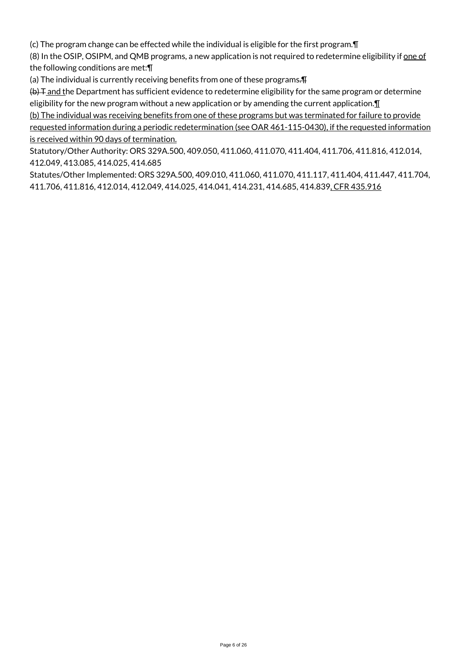(c) The program change can be effected while the individual is eligible for the first program.¶

(8) In the OSIP, OSIPM, and QMB programs, a new application is not required to redetermine eligibility if one of the following conditions are met:¶

(a) The individual is currently receiving benefits from one of these programs.¶

 $(b)$  T and the Department has sufficient evidence to redetermine eligibility for the same program or determine eligibility for the new program without a new application or by amending the current application. $\P$ 

(b) The individual was receiving benefits from one of these programs but was terminated for failure to provide requested information during a periodic redetermination (see OAR 461-115-0430), if the requested information is received within 90 days of termination.

Statutory/Other Authority: ORS 329A.500, 409.050, 411.060, 411.070, 411.404, 411.706, 411.816, 412.014, 412.049, 413.085, 414.025, 414.685

Statutes/Other Implemented: ORS 329A.500, 409.010, 411.060, 411.070, 411.117, 411.404, 411.447, 411.704, 411.706, 411.816, 412.014, 412.049, 414.025, 414.041, 414.231, 414.685, 414.839, CFR 435.916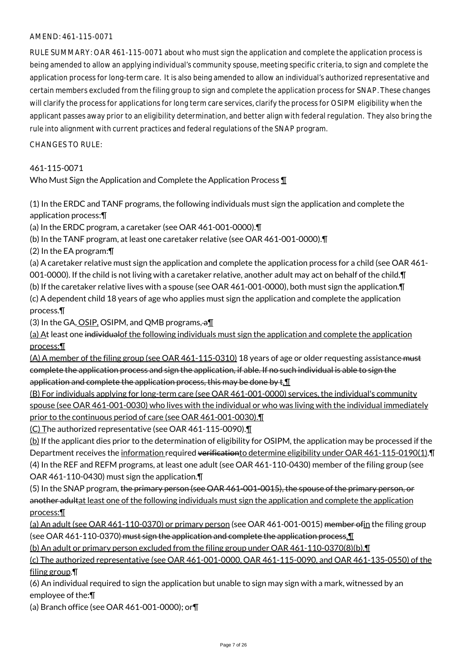#### AMEND: 461-115-0071

RULE SUMMARY: OAR 461-115-0071 about who must sign the application and complete the application process is being amended to allow an applying individual's community spouse, meeting specific criteria, to sign and complete the application process for long-term care. It is also being amended to allow an individual's authorized representative and certain members excluded from the filing group to sign and complete the application process for SNAP. These changes will clarify the process for applications for long term care services, clarify the process for OSIPM eligibility when the applicant passes away prior to an eligibility determination, and better align with federal regulation. They also bring the rule into alignment with current practices and federal regulations of the SNAP program.

#### $CHANGESTORUIF$

# 461-115-0071

Who Must Sign the Application and Complete the Application Process 1

(1) In the ERDC and TANF programs, the following individuals must sign the application and complete the application process:¶

(a) In the ERDC program, a caretaker (see OAR 461-001-0000).¶

(b) In the TANF program, at least one caretaker relative (see OAR 461-001-0000).¶

(2) In the EA program:¶

(a) A caretaker relative must sign the application and complete the application process for a child (see OAR 461- 001-0000). If the child is not living with a caretaker relative, another adult may act on behalf of the child.¶

(b) If the caretaker relative lives with a spouse (see OAR 461-001-0000), both must sign the application.¶

(c) A dependent child 18 years of age who applies must sign the application and complete the application process.¶

(3) In the GA, OSIP, OSIPM, and QMB programs,  $a\text{I}$ 

(a) At least one individualof the following individuals must sign the application and complete the application process:¶

(A) A member of the filing group (see OAR 461-115-0310) 18 years of age or older requesting assistance must complete the application process and sign the application, if able. If no such individual is able to sign the application and complete the application process, this may be done by t. I

(B) For individuals applying for long-term care (see OAR 461-001-0000) services, the individual's community spouse (see OAR 461-001-0030) who lives with the individual or who was living with the individual immediately prior to the continuous period of care (see OAR 461-001-0030).¶

(C) The authorized representative (see OAR 461-115-0090).¶

(b) If the applicant dies prior to the determination of eligibility for OSIPM, the application may be processed if the Department receives the information required verification to determine eligibility under OAR 461-115-0190(1). (4) In the REF and REFM programs, at least one adult (see OAR 461-110-0430) member of the filing group (see OAR 461-110-0430) must sign the application.¶

(5) In the SNAP program, the primary person (see OAR 461-001-0015), the spouse of the primary person, or another adultat least one of the following individuals must sign the application and complete the application process:¶

(a) An adult (see OAR 461-110-0370) or primary person (see OAR 461-001-0015) member of in the filing group (see OAR 461-110-0370) must sign the application and complete the application process.

(b) An adult or primary person excluded from the filing group under OAR 461-110-0370(8)(b).¶

(c) The authorized representative (see OAR 461-001-0000, OAR 461-115-0090, and OAR 461-135-0550) of the filing group.¶

(6) An individual required to sign the application but unable to sign may sign with a mark, witnessed by an employee of the:¶

(a) Branch office (see OAR 461-001-0000); or¶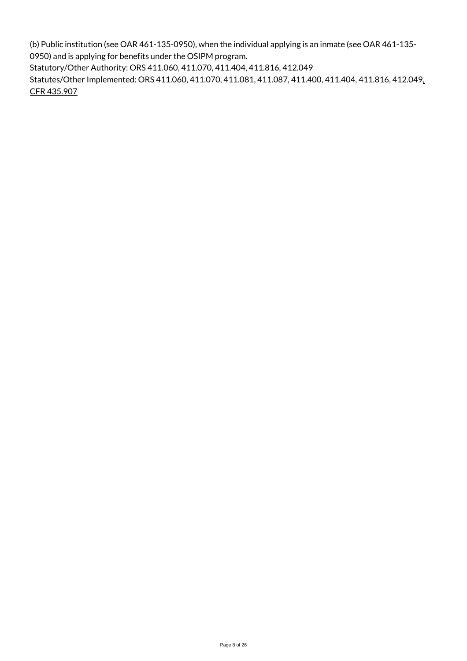(b) Public institution (see OAR 461-135-0950), when the individual applying is an inmate (see OAR 461-135- 0950) and is applying for benefits under the OSIPM program.

Statutory/Other Authority: ORS 411.060, 411.070, 411.404, 411.816, 412.049

Statutes/Other Implemented: ORS 411.060, 411.070, 411.081, 411.087, 411.400, 411.404, 411.816, 412.049, CFR 435.907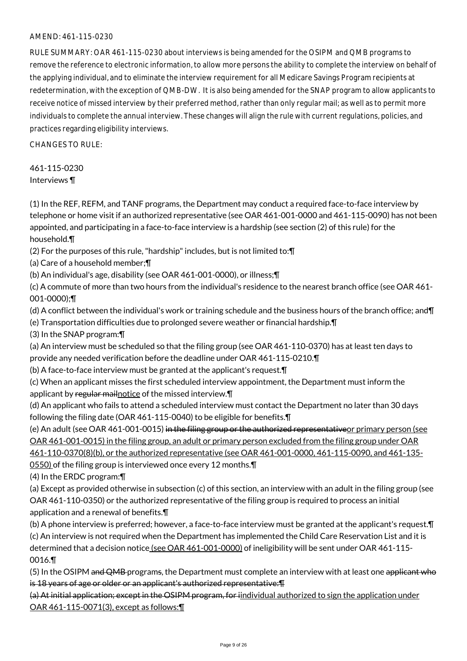#### AMEND: 461-115-0230

RULE SUMMARY: OAR 461-115-0230 about interviews is being amended for the OSIPM and QMB programs to remove the reference to electronic information, to allow more persons the ability to complete the interview on behalf of the applying individual, and to eliminate the interview requirement for all Medicare Savings Program recipients at redetermination, with the exception of QMB-DW. It is also being amended for the SNAP program to allow applicants to receive notice of missed interview by their preferred method, rather than only regular mail; as well as to permit more individuals to complete the annual interview. These changes will align the rule with current regulations, policies, and practices regarding eligibility interviews.

 $CHANGFS TO RIIF$ 

461-115-0230 Interviews ¶

(1) In the REF, REFM, and TANF programs, the Department may conduct a required face-to-face interview by telephone or home visit if an authorized representative (see OAR 461-001-0000 and 461-115-0090) has not been appointed, and participating in a face-to-face interview is a hardship (see section (2) of this rule) for the household.¶

(2) For the purposes of this rule, "hardship" includes, but is not limited to:¶

(a) Care of a household member;¶

(b) An individual's age, disability (see OAR 461-001-0000), or illness;¶

(c) A commute of more than two hours from the individual's residence to the nearest branch office (see OAR 461- 001-0000);¶

(d) A conflict between the individual's work or training schedule and the business hours of the branch office; and¶

(e) Transportation difficulties due to prolonged severe weather or financial hardship.¶

(3) In the SNAP program:¶

(a) An interview must be scheduled so that the filing group (see OAR 461-110-0370) has at least ten days to provide any needed verification before the deadline under OAR 461-115-0210.¶

(b) A face-to-face interview must be granted at the applicant's request.¶

(c) When an applicant misses the first scheduled interview appointment, the Department must inform the applicant by regular mail notice of the missed interview.

(d) An applicant who fails to attend a scheduled interview must contact the Department no later than 30 days following the filing date (OAR 461-115-0040) to be eligible for benefits.¶

(e) An adult (see OAR 461-001-0015) in the filing group or the authorized representativeor primary person (see OAR 461-001-0015) in the filing group, an adult or primary person excluded from the filing group under OAR

461-110-0370(8)(b), or the authorized representative (see OAR 461-001-0000, 461-115-0090, and 461-135-

0550) of the filing group is interviewed once every 12 months.¶

(4) In the ERDC program:¶

(a) Except as provided otherwise in subsection (c) of this section, an interview with an adult in the filing group (see OAR 461-110-0350) or the authorized representative of the filing group is required to process an initial application and a renewal of benefits.¶

(b) A phone interview is preferred; however, a face-to-face interview must be granted at the applicant's request.¶ (c) An interview is not required when the Department has implemented the Child Care Reservation List and it is determined that a decision notice (see OAR 461-001-0000) of ineligibility will be sent under OAR 461-115-0016.¶

(5) In the OSIPM and QMB programs, the Department must complete an interview with at least one applicant who is 18 years of age or older or an applicant's authorized representative:¶

(a) At initial application; except in the OSIPM program, for iindividual authorized to sign the application under OAR 461-115-0071(3), except as follows:¶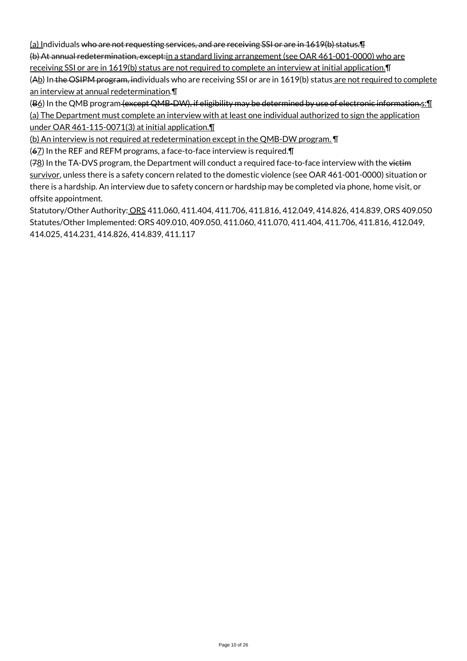(a) Individuals who are not requesting services, and are receiving SSI or are in 1619(b) status.¶

(b) At annual redetermination, except:in a standard living arrangement (see OAR 461-001-0000) who are

receiving SSI or are in 1619(b) status are not required to complete an interview at initial application.¶ (Ab) In the OSIPM program, individuals who are receiving SSI or are in 1619(b) status are not required to complete an interview at annual redetermination.¶

(B6) In the QMB program (except QMB-DW), if eligibility may be determined by use of electronic information.s: [ (a) The Department must complete an interview with at least one individual authorized to sign the application under OAR 461-115-0071(3) at initial application.¶

(b) An interview is not required at redetermination except in the QMB-DW program. ¶

(67) In the REF and REFM programs, a face-to-face interview is required.¶

(78) In the TA-DVS program, the Department will conduct a required face-to-face interview with the victim survivor, unless there is a safety concern related to the domestic violence (see OAR 461-001-0000) situation or there is a hardship. An interview due to safety concern or hardship may be completed via phone, home visit, or offsite appointment.

Statutory/Other Authority: ORS 411.060, 411.404, 411.706, 411.816, 412.049, 414.826, 414.839, ORS 409.050 Statutes/Other Implemented: ORS 409.010, 409.050, 411.060, 411.070, 411.404, 411.706, 411.816, 412.049, 414.025, 414.231, 414.826, 414.839, 411.117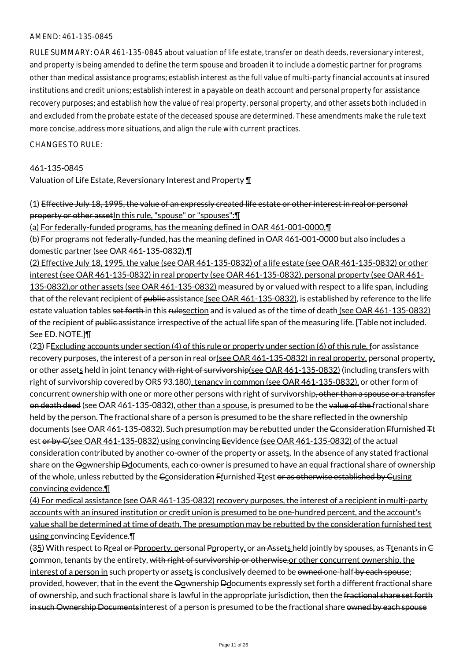#### AMEND: 461-135-0845

RULE SUMMARY: OAR 461-135-0845 about valuation of life estate, transfer on death deeds, reversionary interest, and property is being amended to define the term spouse and broaden it to include a domestic partner for programs other than medical assistance programs; establish interest as the full value of multi-party financial accounts at insured institutions and credit unions; establish interest in a payable on death account and personal property for assistance recovery purposes; and establish how the value of real property, personal property, and other assets both included in and excluded from the probate estate of the deceased spouse are determined. These amendments make the rule text more concise, address more situations, and align the rule with current practices.

#### $CHANGFS TO RIIF$

#### 461-135-0845

Valuation of Life Estate, Reversionary Interest and Property ¶

# (1) Effective July 18, 1995, the value of an expressly created life estate or other interest in real or personal property or other asset In this rule, "spouse" or "spouses": [1]

(a) For federally-funded programs, has the meaning defined in OAR 461-001-0000,¶

(b) For programs not federally-funded, has the meaning defined in OAR 461-001-0000 but also includes a domestic partner (see OAR 461-135-0832).¶

(2) Effective July 18, 1995, the value (see OAR 461-135-0832) of a life estate (see OAR 461-135-0832) or other interest (see OAR 461-135-0832) in real property (see OAR 461-135-0832), personal property (see OAR 461- 135-0832),or other assets (see OAR 461-135-0832) measured by or valued with respect to a life span, including that of the relevant recipient of public assistance (see OAR 461-135-0832), is established by reference to the life estate valuation tables set forth in this rulesection and is valued as of the time of death (see OAR 461-135-0832) of the recipient of public assistance irrespective of the actual life span of the measuring life. [Table not included. See ED. NOTE.]¶

(23) FExcluding accounts under section (4) of this rule or property under section (6) of this rule, for assistance recovery purposes, the interest of a person in real or(see OAR 461-135-0832) in real property, personal property, or other assets held in joint tenancy with right of survivorship(see OAR 461-135-0832) (including transfers with right of survivorship covered by ORS 93.180), tenancy in common (see OAR 461-135-0832), or other form of concurrent ownership with one or more other persons with right of survivorship, other than a spouse or a transfer on death deed (see OAR 461-135-0832), other than a spouse, is presumed to be the value of the fractional share held by the person. The fractional share of a person is presumed to be the share reflected in the ownership documents (see OAR 461-135-0832). Such presumption may be rebutted under the Econsideration Ffurnished <sub>Tt</sub> est or by C(see OAR 461-135-0832) using convincing Eevidence (see OAR 461-135-0832) of the actual consideration contributed by another co-owner of the property or assets. In the absence of any stated fractional share on the Oownership Ddocuments, each co-owner is presumed to have an equal fractional share of ownership of the whole, unless rebutted by the Gconsideration Ffurnished Ttest or as otherwise established by Gusing convincing evidence.¶

(4) For medical assistance (see OAR 461-135-0832) recovery purposes, the interest of a recipient in multi-party accounts with an insured institution or credit union is presumed to be one-hundred percent, and the account's value shall be determined at time of death. The presumption may be rebutted by the consideration furnished test using convincing Eevidence.

(35) With respect to Rreal or Pproperty, personal Pproperty, or an Assets held jointly by spouses, as Ttenants in  $G$ common, tenants by the entirety, with right of survivorship or otherwise, or other concurrent ownership, the interest of a person in such property or assets is conclusively deemed to be owned one-half by each spouse; provided, however, that in the event the Oownership Ddocuments expressly set forth a different fractional share of ownership, and such fractional share is lawful in the appropriate jurisdiction, then the fractional share set forth in such Ownership Documents interest of a person is presumed to be the fractional share owned by each spouse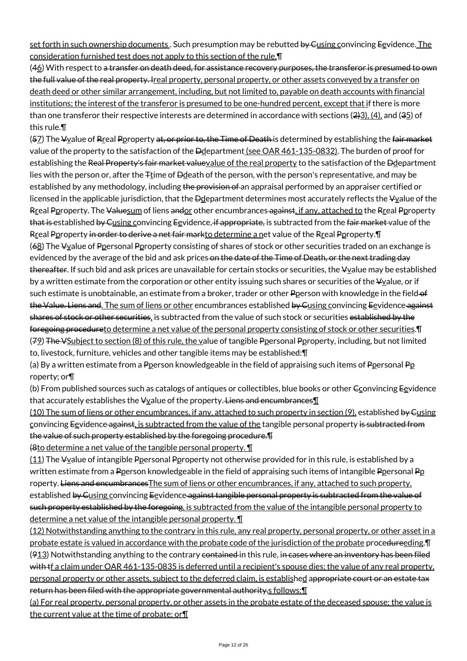set forth in such ownership documents. Such presumption may be rebutted by Cusing convincing Eevidence. The consideration furnished test does not apply to this section of the rule.¶

(46) With respect to a transfer on death deed, for assistance recovery purposes, the transferor is presumed to own the full value of the real property. Ireal property, personal property, or other assets conveyed by a transfer on death deed or other similar arrangement, including, but not limited to, payable on death accounts with financial institutions; the interest of the transferor is presumed to be one-hundred percent, except that if there is more than one transferor their respective interests are determined in accordance with sections  $(2,3)$ ,  $(4)$ , and  $(35)$  of this rule.¶

(57) The Vyalue of Rreal Pproperty at, or prior to, the Time of Death is determined by establishing the fair market value of the property to the satisfaction of the Ddepartment (see OAR 461-135-0832). The burden of proof for establishing the Real Property's fair market valuevalue of the real property to the satisfaction of the Ddepartment lies with the person or, after the  $F_1$ time of  $D_2$  eath of the person, with the person's representative, and may be established by any methodology, including the provision of an appraisal performed by an appraiser certified or licensed in the applicable jurisdiction, that the  $\Theta$ department determines most accurately reflects the  $\Psi$  yalue of the Rreal Pproperty. The Valuesum of liens andor other encumbrances against, if any, attached to the Rreal Pproperty that is established by Cusing convincing Eevidence, if appropriate, is subtracted from the fair market value of the Rreal Pproperty in order to derive a net fair markto determine a net value of the Rreal Pproperty. I (68) The  $\frac{1}{2}$  The  $\frac{1}{2}$  and  $\frac{1}{2}$  Personal Peroperty consisting of shares of stock or other securities traded on an exchange is evidenced by the average of the bid and ask prices on the date of the Time of Death, or the next trading day thereafter. If such bid and ask prices are unavailable for certain stocks or securities, the ¥value may be established by a written estimate from the corporation or other entity issuing such shares or securities of the  $V_2$ alue, or if such estimate is unobtainable, an estimate from a broker, trader or other Pperson with knowledge in the field-of the Value. Liens and. The sum of liens or other encumbrances established by Cusing convincing Eevidence against shares of stock or other securities, is subtracted from the value of such stock or securities established by the foregoing procedureto determine a net value of the personal property consisting of stock or other securities. T (79) The VSubject to section (8) of this rule, the value of tangible Ppersonal Pproperty, including, but not limited to, livestock, furniture, vehicles and other tangible items may be established:¶

(a) By a written estimate from a Pperson knowledgeable in the field of appraising such items of Ppersonal Pp roperty; or¶

(b) From published sources such as catalogs of antiques or collectibles, blue books or other  $\epsilon_0$  orvincing Eevidence that accurately establishes the  $\frac{1}{2}$  value of the property. Liens and encumbrances [1]

(10) The sum of liens or other encumbrances, if any, attached to such property in section (9), established by Gusing convincing Eevidence against, is subtracted from the value of the tangible personal property is subtracted from the value of such property established by the foregoing procedure.¶

(8to determine a net value of the tangible personal property. ¶

 $(11)$  The  $\frac{1}{2}$  The  $\frac{1}{2}$  of intangible Ppersonal Pproperty not otherwise provided for in this rule, is established by a written estimate from a Pperson knowledgeable in the field of appraising such items of intangible Ppersonal Pp roperty. Liens and encumbrances The sum of liens or other encumbrances, if any, attached to such property, established by Cusing convincing Eevidence against tangible personal property is subtracted from the value of such property established by the foregoing, is subtracted from the value of the intangible personal property to determine a net value of the intangible personal property. ¶

(12) Notwithstanding anything to the contrary in this rule, any real property, personal property, or other asset in a probate estate is valued in accordance with the probate code of the jurisdiction of the probate procedureeding. I (913) Notwithstanding anything to the contrary contained in this rule, in cases where an inventory has been filed with tf a claim under OAR 461-135-0835 is deferred until a recipient's spouse dies; the value of any real property, personal property or other assets, subject to the deferred claim, is established appropriate court or an estate tax return has been filed with the appropriate governmental authority,s follows: [1]

(a) For real property, personal property, or other assets in the probate estate of the deceased spouse; the value is the current value at the time of probate; or¶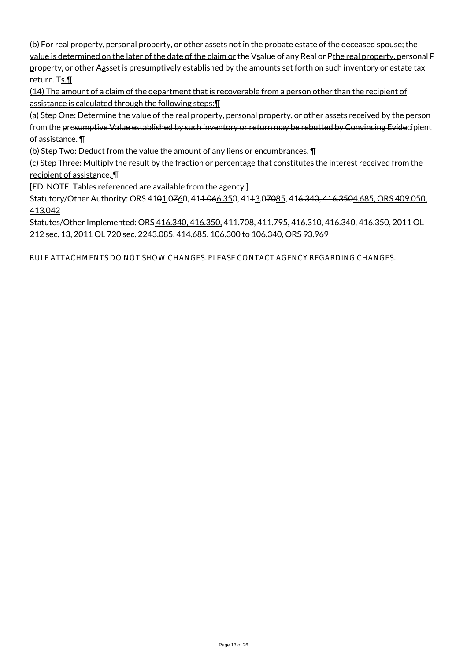(b) For real property, personal property, or other assets not in the probate estate of the deceased spouse; the value is determined on the later of the date of the claim or the  $\frac{1}{2}$ salue of any Real or Pthe real property, personal P

property, or other Aasset is presumptively established by the amounts set forth on such inventory or estate tax return. Ts. 1

(14) The amount of a claim of the department that is recoverable from a person other than the recipient of assistance is calculated through the following steps:¶

(a) Step One: Determine the value of the real property, personal property, or other assets received by the person from the presumptive Value established by such inventory or return may be rebutted by Convincing Evidecipient of assistance. ¶

(b) Step Two: Deduct from the value the amount of any liens or encumbrances. ¶

(c) Step Three: Multiply the result by the fraction or percentage that constitutes the interest received from the recipient of assistance. ¶

[ED. NOTE: Tables referenced are available from the agency.]

Statutory/Other Authority: ORS 4101.0760, 411.066.350, 4113.07085, 416.340, 416.3504.685, ORS 409.050, 413.042

Statutes/Other Implemented: ORS 416.340, 416.350, 411.708, 411.795, 416.310, 41<del>6.340, 416.350, 2011 OL</del> 212 sec. 13, 2011 OL 720 sec. 2243.085, 414.685, 106.300 to 106.340, ORS 93.969

RULE ATTACHMENTS DO NOT SHOW CHANGES. PLEASE CONTACT AGENCY REGARDING CHANGES.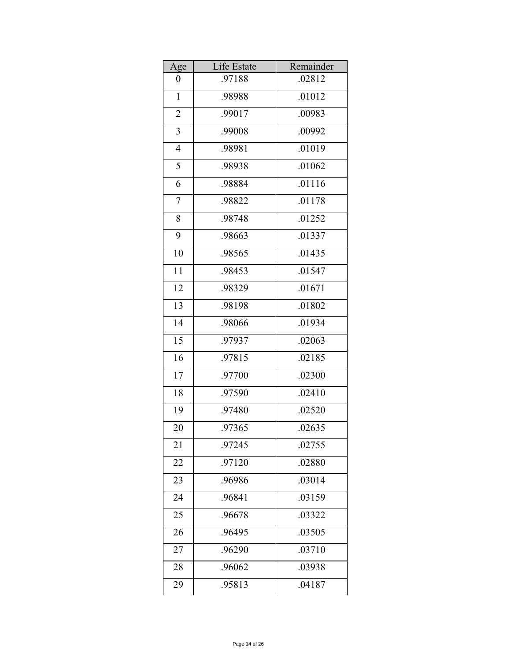| Age            | Life Estate | Remainder |
|----------------|-------------|-----------|
| 0              | .97188      | .02812    |
| $\mathbf{1}$   | .98988      | .01012    |
| $\overline{2}$ | .99017      | .00983    |
| 3              | .99008      | .00992    |
| $\overline{4}$ | .98981      | .01019    |
| 5              | .98938      | .01062    |
| 6              | .98884      | .01116    |
| 7              | .98822      | .01178    |
| 8              | .98748      | .01252    |
| 9              | .98663      | .01337    |
| 10             | .98565      | .01435    |
| 11             | .98453      | .01547    |
| 12             | .98329      | .01671    |
| 13             | .98198      | .01802    |
| 14             | .98066      | .01934    |
| 15             | .97937      | .02063    |
| 16             | .97815      | .02185    |
| 17             | .97700      | .02300    |
| 18             | .97590      | .02410    |
| 19             | .97480      | .02520    |
| 20             | .97365      | .02635    |
| 21             | .97245      | .02755    |
| 22             | .97120      | .02880    |
| 23             | .96986      | .03014    |
| 24             | .96841      | .03159    |
| 25             | .96678      | .03322    |
| 26             | .96495      | .03505    |
| 27             | .96290      | .03710    |
| 28             | .96062      | .03938    |
| 29             | .95813      | .04187    |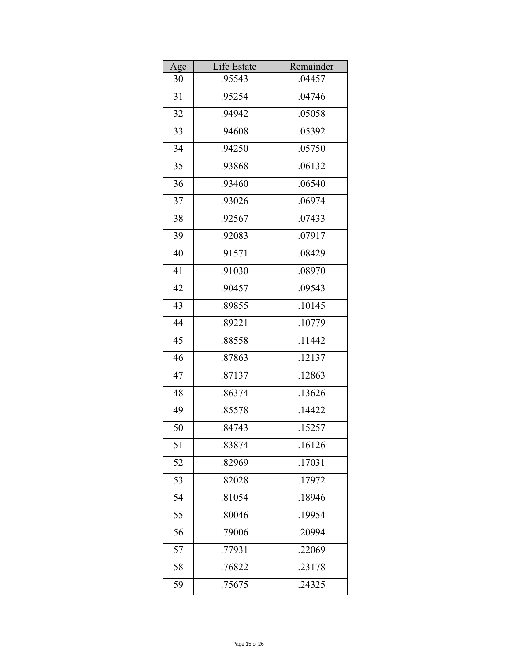| Age | Life Estate | Remainder |
|-----|-------------|-----------|
| 30  | .95543      | .04457    |
| 31  | .95254      | .04746    |
| 32  | .94942      | .05058    |
| 33  | .94608      | .05392    |
| 34  | .94250      | .05750    |
| 35  | .93868      | .06132    |
| 36  | .93460      | .06540    |
| 37  | .93026      | .06974    |
| 38  | .92567      | .07433    |
| 39  | .92083      | .07917    |
| 40  | .91571      | .08429    |
| 41  | .91030      | .08970    |
| 42  | .90457      | .09543    |
| 43  | .89855      | .10145    |
| 44  | .89221      | .10779    |
| 45  | .88558      | .11442    |
| 46  | .87863      | .12137    |
| 47  | .87137      | .12863    |
| 48  | .86374      | .13626    |
| 49  | .85578      | .14422    |
| 50  | .84743      | .15257    |
| 51  | .83874      | .16126    |
| 52  | .82969      | .17031    |
| 53  | .82028      | .17972    |
| 54  | .81054      | .18946    |
| 55  | .80046      | .19954    |
| 56  | .79006      | .20994    |
| 57  | .77931      | .22069    |
| 58  | .76822      | .23178    |
| 59  | .75675      | .24325    |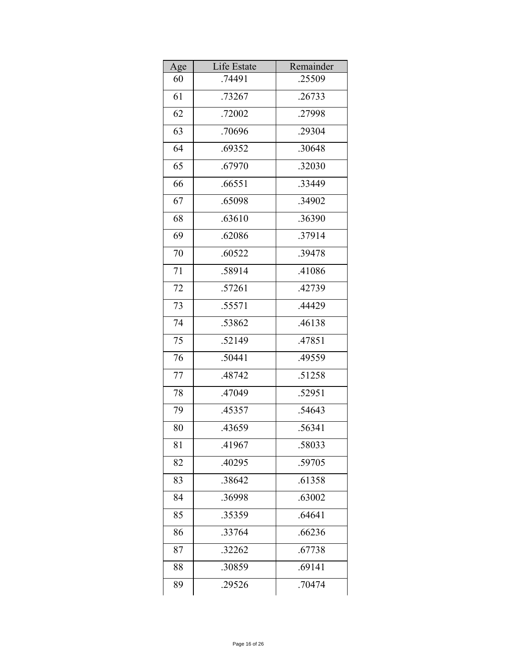| Age | Life Estate | Remainder |
|-----|-------------|-----------|
| 60  | .74491      | .25509    |
| 61  | .73267      | .26733    |
| 62  | .72002      | .27998    |
| 63  | .70696      | .29304    |
| 64  | .69352      | .30648    |
| 65  | .67970      | .32030    |
| 66  | .66551      | .33449    |
| 67  | .65098      | .34902    |
| 68  | .63610      | .36390    |
| 69  | .62086      | .37914    |
| 70  | .60522      | .39478    |
| 71  | .58914      | .41086    |
| 72  | .57261      | .42739    |
| 73  | .55571      | .44429    |
| 74  | .53862      | .46138    |
| 75  | .52149      | .47851    |
| 76  | .50441      | .49559    |
| 77  | .48742      | .51258    |
| 78  | .47049      | .52951    |
| 79  | .45357      | .54643    |
| 80  | .43659      | .56341    |
| 81  | .41967      | .58033    |
| 82  | .40295      | .59705    |
| 83  | .38642      | .61358    |
| 84  | .36998      | .63002    |
| 85  | .35359      | .64641    |
| 86  | .33764      | .66236    |
| 87  | .32262      | .67738    |
| 88  | .30859      | .69141    |
| 89  | .29526      | .70474    |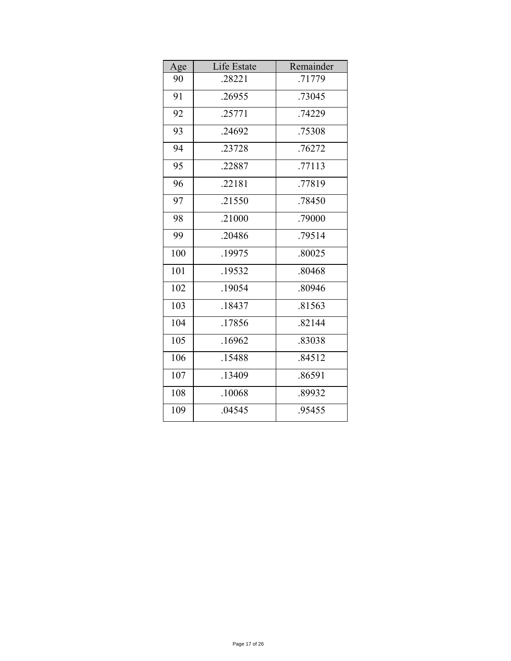| Age | Life Estate | Remainder |
|-----|-------------|-----------|
| 90  | .28221      | .71779    |
| 91  | .26955      | .73045    |
| 92  | .25771      | .74229    |
| 93  | .24692      | .75308    |
| 94  | .23728      | .76272    |
| 95  | .22887      | .77113    |
| 96  | .22181      | .77819    |
| 97  | .21550      | .78450    |
| 98  | .21000      | .79000    |
| 99  | .20486      | .79514    |
| 100 | .19975      | .80025    |
| 101 | .19532      | .80468    |
| 102 | .19054      | .80946    |
| 103 | .18437      | .81563    |
| 104 | .17856      | .82144    |
| 105 | .16962      | .83038    |
| 106 | .15488      | .84512    |
| 107 | .13409      | .86591    |
| 108 | .10068      | .89932    |
| 109 | .04545      | .95455    |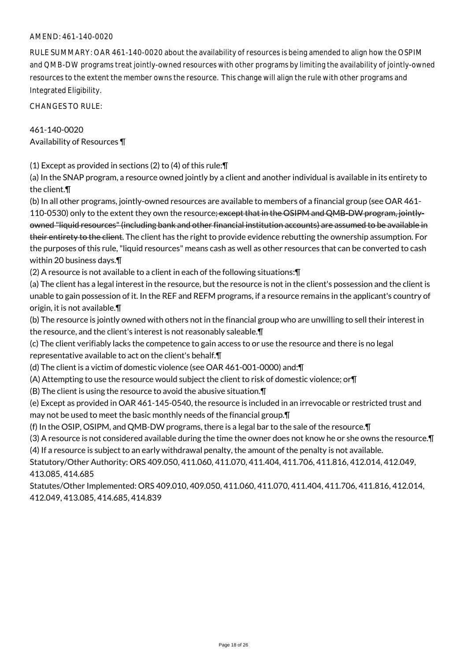#### AMEND: 461-140-0020

RULE SUMMARY: OAR 461-140-0020 about the availability of resources is being amended to align how the OSPIM and QMB-DW programs treat jointly-owned resources with other programs by limiting the availability of jointly-owned resources to the extent the member owns the resource. This change will align the rule with other programs and Integrated Eligibility.

CHANGES TO RULE:

461-140-0020 Availability of Resources ¶

(1) Except as provided in sections (2) to (4) of this rule:¶

(a) In the SNAP program, a resource owned jointly by a client and another individual is available in its entirety to the client.¶

(b) In all other programs, jointly-owned resources are available to members of a financial group (see OAR 461- 110-0530) only to the extent they own the resource; except that in the OSIPM and QMB-DW program, jointlyowned "liquid resources" (including bank and other financial institution accounts) are assumed to be available in their entirety to the client. The client has the right to provide evidence rebutting the ownership assumption. For the purposes of this rule, "liquid resources" means cash as well as other resources that can be converted to cash within 20 business days.¶

(2) A resource is not available to a client in each of the following situations:¶

(a) The client has a legal interest in the resource, but the resource is not in the client's possession and the client is unable to gain possession of it. In the REF and REFM programs, if a resource remains in the applicant's country of origin, it is not available.¶

(b) The resource is jointly owned with others not in the financial group who are unwilling to sell their interest in the resource, and the client's interest is not reasonably saleable.¶

(c) The client verifiably lacks the competence to gain access to or use the resource and there is no legal representative available to act on the client's behalf.¶

(d) The client is a victim of domestic violence (see OAR 461-001-0000) and:¶

(A) Attempting to use the resource would subject the client to risk of domestic violence; or¶

(B) The client is using the resource to avoid the abusive situation.¶

(e) Except as provided in OAR 461-145-0540, the resource is included in an irrevocable or restricted trust and may not be used to meet the basic monthly needs of the financial group.¶

(f) In the OSIP, OSIPM, and QMB-DW programs, there is a legal bar to the sale of the resource.¶

(3) A resource is not considered available during the time the owner does not know he or she owns the resource.¶ (4) If a resource is subject to an early withdrawal penalty, the amount of the penalty is not available.

Statutory/Other Authority: ORS 409.050, 411.060, 411.070, 411.404, 411.706, 411.816, 412.014, 412.049, 413.085, 414.685

Statutes/Other Implemented: ORS 409.010, 409.050, 411.060, 411.070, 411.404, 411.706, 411.816, 412.014, 412.049, 413.085, 414.685, 414.839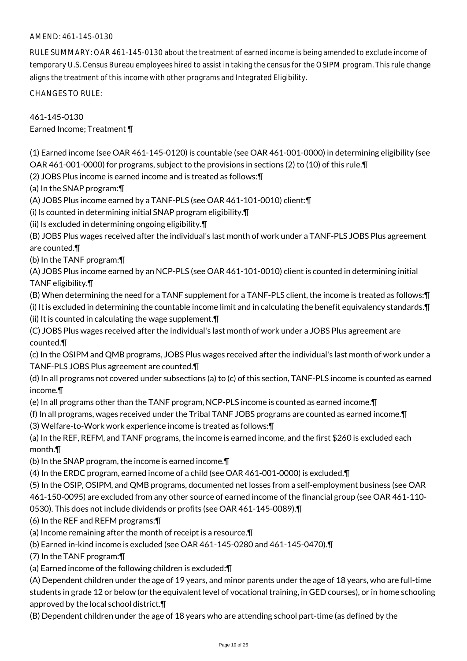# AMEND: 461-145-0130

RULE SUMMARY: OAR 461-145-0130 about the treatment of earned income is being amended to exclude income of temporary U.S. Census Bureau employees hired to assist in taking the census for the OSIPM program. This rule change aligns the treatment of this income with other programs and Integrated Eligibility.

CHANGES TO RULE:

461-145-0130 Earned Income; Treatment ¶

(1) Earned income (see OAR 461-145-0120) is countable (see OAR 461-001-0000) in determining eligibility (see OAR 461-001-0000) for programs, subject to the provisions in sections (2) to (10) of this rule.¶

(2) JOBS Plus income is earned income and is treated as follows:¶

(a) In the SNAP program:¶

(A) JOBS Plus income earned by a TANF-PLS (see OAR 461-101-0010) client:¶

(i) Is counted in determining initial SNAP program eligibility.¶

(ii) Is excluded in determining ongoing eligibility.¶

(B) JOBS Plus wages received after the individual's last month of work under a TANF-PLS JOBS Plus agreement are counted.¶

(b) In the TANF program:¶

(A) JOBS Plus income earned by an NCP-PLS (see OAR 461-101-0010) client is counted in determining initial TANF eligibility.¶

- (B) When determining the need for a TANF supplement for a TANF-PLS client, the income is treated as follows:¶
- (i) It is excluded in determining the countable income limit and in calculating the benefit equivalency standards.¶ (ii) It is counted in calculating the wage supplement.¶

(C) JOBS Plus wages received after the individual's last month of work under a JOBS Plus agreement are counted.¶

(c) In the OSIPM and QMB programs, JOBS Plus wages received after the individual's last month of work under a TANF-PLS JOBS Plus agreement are counted.¶

(d) In all programs not covered under subsections (a) to (c) of this section, TANF-PLS income is counted as earned income.¶

- (e) In all programs other than the TANF program, NCP-PLS income is counted as earned income.¶
- (f) In all programs, wages received under the Tribal TANF JOBS programs are counted as earned income.¶

(3) Welfare-to-Work work experience income is treated as follows:¶

(a) In the REF, REFM, and TANF programs, the income is earned income, and the first \$260 is excluded each month.¶

(b) In the SNAP program, the income is earned income.¶

(4) In the ERDC program, earned income of a child (see OAR 461-001-0000) is excluded.¶

(5) In the OSIP, OSIPM, and QMB programs, documented net losses from a self-employment business (see OAR

461-150-0095) are excluded from any other source of earned income of the financial group (see OAR 461-110-

0530). This does not include dividends or profits (see OAR 461-145-0089).¶

(6) In the REF and REFM programs:¶

(a) Income remaining after the month of receipt is a resource.¶

(b) Earned in-kind income is excluded (see OAR 461-145-0280 and 461-145-0470).¶

(7) In the TANF program:¶

(a) Earned income of the following children is excluded:¶

(A) Dependent children under the age of 19 years, and minor parents under the age of 18 years, who are full-time students in grade 12 or below (or the equivalent level of vocational training, in GED courses), or in home schooling approved by the local school district.¶

(B) Dependent children under the age of 18 years who are attending school part-time (as defined by the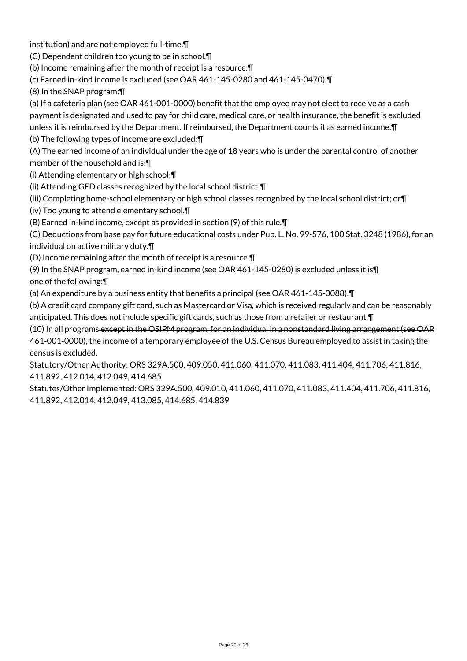institution) and are not employed full-time.¶

(C) Dependent children too young to be in school.¶

(b) Income remaining after the month of receipt is a resource.¶

(c) Earned in-kind income is excluded (see OAR 461-145-0280 and 461-145-0470).¶

(8) In the SNAP program:¶

(a) If a cafeteria plan (see OAR 461-001-0000) benefit that the employee may not elect to receive as a cash payment is designated and used to pay for child care, medical care, or health insurance, the benefit is excluded unless it is reimbursed by the Department. If reimbursed, the Department counts it as earned income.¶

(b) The following types of income are excluded:¶

(A) The earned income of an individual under the age of 18 years who is under the parental control of another member of the household and is:¶

(i) Attending elementary or high school;¶

(ii) Attending GED classes recognized by the local school district;¶

(iii) Completing home-school elementary or high school classes recognized by the local school district; or¶

(iv) Too young to attend elementary school.¶

(B) Earned in-kind income, except as provided in section (9) of this rule.¶

(C) Deductions from base pay for future educational costs under Pub. L. No. 99-576, 100 Stat. 3248 (1986), for an individual on active military duty.¶

(D) Income remaining after the month of receipt is a resource.¶

(9) In the SNAP program, earned in-kind income (see OAR 461-145-0280) is excluded unless it is¶ one of the following:¶

(a) An expenditure by a business entity that benefits a principal (see OAR 461-145-0088).¶

(b) A credit card company gift card, such as Mastercard or Visa, which is received regularly and can be reasonably anticipated. This does not include specific gift cards, such as those from a retailer or restaurant.¶

(10) In all programs except in the OSIPM program, for an individual in a nonstandard living arrangement (see OAR 461-001-0000), the income of a temporary employee of the U.S. Census Bureau employed to assist in taking the census is excluded.

Statutory/Other Authority: ORS 329A.500, 409.050, 411.060, 411.070, 411.083, 411.404, 411.706, 411.816, 411.892, 412.014, 412.049, 414.685

Statutes/Other Implemented: ORS 329A.500, 409.010, 411.060, 411.070, 411.083, 411.404, 411.706, 411.816, 411.892, 412.014, 412.049, 413.085, 414.685, 414.839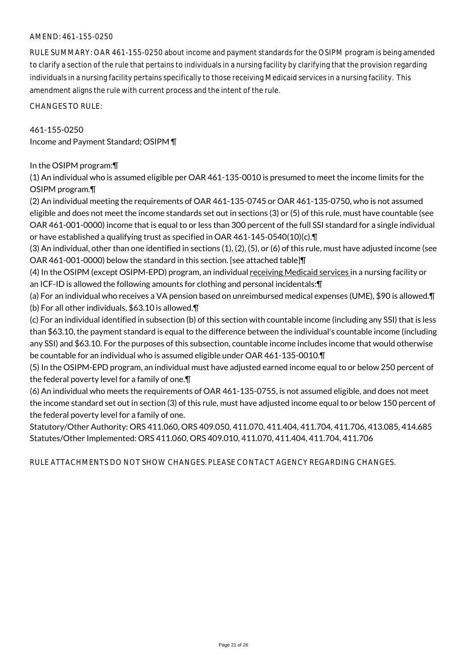#### AMEND: 461-155-0250

RULE SUMMARY: OAR 461-155-0250 about income and payment standards for the OSIPM program is being amended to clarify a section of the rule that pertains to individuals in a nursing facility by clarifying that the provision regarding individuals in a nursing facility pertains specifically to those receiving Medicaid services in a nursing facility. This amendment aligns the rule with current process and the intent of the rule.

CHANGES TO RULE:

461-155-0250 Income and Payment Standard; OSIPM ¶

In the OSIPM program:¶

(1) An individual who is assumed eligible per OAR 461-135-0010 is presumed to meet the income limits for the OSIPM program.¶

(2) An individual meeting the requirements of OAR 461-135-0745 or OAR 461-135-0750, who is not assumed eligible and does not meet the income standards set out in sections (3) or (5) of this rule, must have countable (see OAR 461-001-0000) income that is equal to or less than 300 percent of the full SSI standard for a single individual or have established a qualifying trust as specified in OAR 461-145-0540(10)(c).¶

(3) An individual, other than one identified in sections (1), (2), (5), or (6) of this rule, must have adjusted income (see OAR 461-001-0000) below the standard in this section. [see attached table]¶

(4) In the OSIPM (except OSIPM-EPD) program, an individual receiving Medicaid services in a nursing facility or an ICF-ID is allowed the following amounts for clothing and personal incidentals:¶

(a) For an individual who receives a VA pension based on unreimbursed medical expenses (UME), \$90 is allowed.¶ (b) For all other individuals, \$63.10 is allowed.¶

(c) For an individual identified in subsection (b) of this section with countable income (including any SSI) that is less than \$63.10, the payment standard is equal to the difference between the individual's countable income (including any SSI) and \$63.10. For the purposes of this subsection, countable income includes income that would otherwise be countable for an individual who is assumed eligible under OAR 461-135-0010.¶

(5) In the OSIPM-EPD program, an individual must have adjusted earned income equal to or below 250 percent of the federal poverty level for a family of one.¶

(6) An individual who meets the requirements of OAR 461-135-0755, is not assumed eligible, and does not meet the income standard set out in section (3) of this rule, must have adjusted income equal to or below 150 percent of the federal poverty level for a family of one.

Statutory/Other Authority: ORS 411.060, ORS 409.050, 411.070, 411.404, 411.704, 411.706, 413.085, 414.685 Statutes/Other Implemented: ORS 411.060, ORS 409.010, 411.070, 411.404, 411.704, 411.706

RULE ATTACHMENTS DO NOT SHOW CHANGES. PLEASE CONTACT AGENCY REGARDING CHANGES.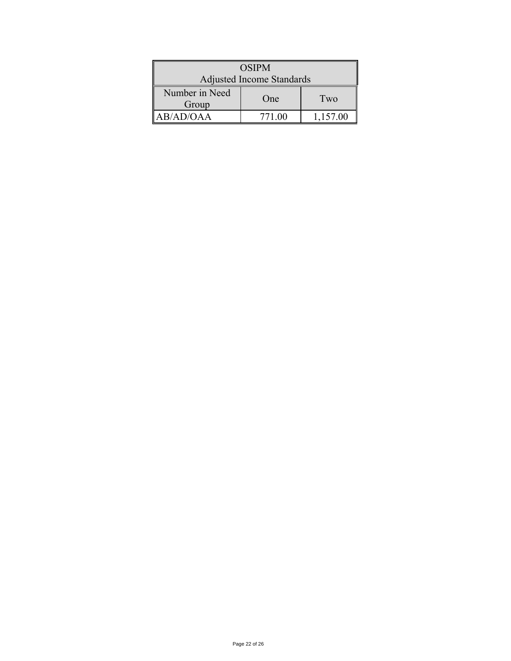| <b>OSIPM</b>              |        |          |  |
|---------------------------|--------|----------|--|
| Adjusted Income Standards |        |          |  |
| Number in Need<br>Group   | One    | Two      |  |
| AB/AD/OAA                 | 771.00 | 1,157.00 |  |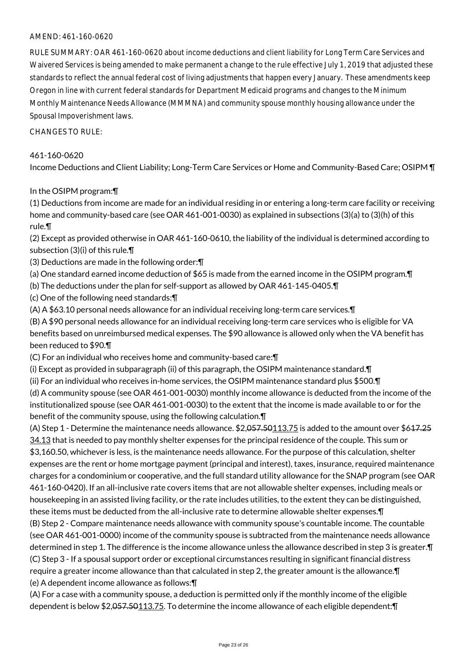# AMEND: 461-160-0620

RULE SUMMARY: OAR 461-160-0620 about income deductions and client liability for Long Term Care Services and Waivered Services is being amended to make permanent a change to the rule effective July 1, 2019 that adjusted these standards to reflect the annual federal cost of living adjustments that happen every January. These amendments keep Oregon in line with current federal standards for Department Medicaid programs and changes to the Minimum Monthly Maintenance Needs Allowance (MMMNA) and community spouse monthly housing allowance under the Spousal Impoverishment laws.

CHANGES TO RULE:

#### 461-160-0620

Income Deductions and Client Liability; Long-Term Care Services or Home and Community-Based Care; OSIPM ¶

#### In the OSIPM program:¶

(1) Deductions from income are made for an individual residing in or entering a long-term care facility or receiving home and community-based care (see OAR 461-001-0030) as explained in subsections (3)(a) to (3)(h) of this rule.¶

(2) Except as provided otherwise in OAR 461-160-0610, the liability of the individual is determined according to subsection (3)(i) of this rule.¶

- (3) Deductions are made in the following order:¶
- (a) One standard earned income deduction of \$65 is made from the earned income in the OSIPM program.¶
- (b) The deductions under the plan for self-support as allowed by OAR 461-145-0405.¶
- (c) One of the following need standards:¶
- (A) A \$63.10 personal needs allowance for an individual receiving long-term care services.¶

(B) A \$90 personal needs allowance for an individual receiving long-term care services who is eligible for VA benefits based on unreimbursed medical expenses. The \$90 allowance is allowed only when the VA benefit has been reduced to \$90.¶

(C) For an individual who receives home and community-based care:¶

(i) Except as provided in subparagraph (ii) of this paragraph, the OSIPM maintenance standard.¶

(ii) For an individual who receives in-home services, the OSIPM maintenance standard plus \$500.¶ (d) A community spouse (see OAR 461-001-0030) monthly income allowance is deducted from the income of the institutionalized spouse (see OAR 461-001-0030) to the extent that the income is made available to or for the benefit of the community spouse, using the following calculation.¶

(A) Step 1 - Determine the maintenance needs allowance.  $$2,057.50113.75$  is added to the amount over  $$647.25$ 34.13 that is needed to pay monthly shelter expenses for the principal residence of the couple. This sum or \$3,160.50, whichever is less, is the maintenance needs allowance. For the purpose of this calculation, shelter expenses are the rent or home mortgage payment (principal and interest), taxes, insurance, required maintenance charges for a condominium or cooperative, and the full standard utility allowance for the SNAP program (see OAR 461-160-0420). If an all-inclusive rate covers items that are not allowable shelter expenses, including meals or housekeeping in an assisted living facility, or the rate includes utilities, to the extent they can be distinguished, these items must be deducted from the all-inclusive rate to determine allowable shelter expenses.¶ (B) Step 2 - Compare maintenance needs allowance with community spouse's countable income. The countable (see OAR 461-001-0000) income of the community spouse is subtracted from the maintenance needs allowance determined in step 1. The difference is the income allowance unless the allowance described in step 3 is greater.¶ (C) Step 3 - If a spousal support order or exceptional circumstances resulting in significant financial distress require a greater income allowance than that calculated in step 2, the greater amount is the allowance.¶

(e) A dependent income allowance as follows:¶

(A) For a case with a community spouse, a deduction is permitted only if the monthly income of the eligible dependent is below \$2,057.50113.75. To determine the income allowance of each eligible dependent:¶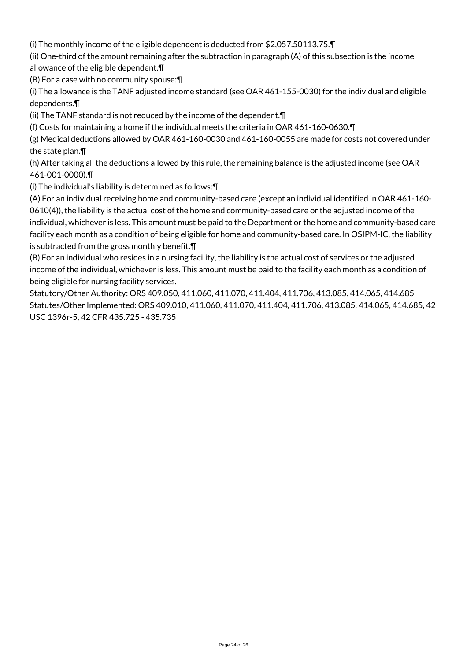(i) The monthly income of the eligible dependent is deducted from \$2,057.50113.75.¶

(ii) One-third of the amount remaining after the subtraction in paragraph (A) of this subsection is the income allowance of the eligible dependent.¶

(B) For a case with no community spouse:¶

(i) The allowance is the TANF adjusted income standard (see OAR 461-155-0030) for the individual and eligible dependents.¶

(ii) The TANF standard is not reduced by the income of the dependent.¶

(f) Costs for maintaining a home if the individual meets the criteria in OAR 461-160-0630.¶

(g) Medical deductions allowed by OAR 461-160-0030 and 461-160-0055 are made for costs not covered under the state plan.¶

(h) After taking all the deductions allowed by this rule, the remaining balance is the adjusted income (see OAR 461-001-0000).¶

(i) The individual's liability is determined as follows:¶

(A) For an individual receiving home and community-based care (except an individual identified in OAR 461-160- 0610(4)), the liability is the actual cost of the home and community-based care or the adjusted income of the individual, whichever is less. This amount must be paid to the Department or the home and community-based care facility each month as a condition of being eligible for home and community-based care. In OSIPM-IC, the liability is subtracted from the gross monthly benefit.¶

(B) For an individual who resides in a nursing facility, the liability is the actual cost of services or the adjusted income of the individual, whichever is less. This amount must be paid to the facility each month as a condition of being eligible for nursing facility services.

Statutory/Other Authority: ORS 409.050, 411.060, 411.070, 411.404, 411.706, 413.085, 414.065, 414.685 Statutes/Other Implemented: ORS 409.010, 411.060, 411.070, 411.404, 411.706, 413.085, 414.065, 414.685, 42 USC 1396r-5, 42 CFR 435.725 - 435.735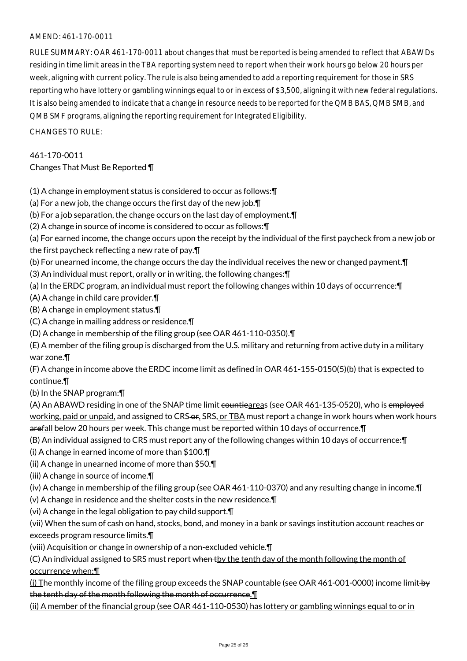# AMEND: 461-170-0011

RULE SUMMARY: OAR 461-170-0011 about changes that must be reported is being amended to reflect that ABAWDs residing in time limit areas in the TBA reporting system need to report when their work hours go below 20 hours per week, aligning with current policy. The rule is also being amended to add a reporting requirement for those in SRS reporting who have lottery or gambling winnings equal to or in excess of \$3,500, aligning it with new federal regulations. It is also being amended to indicate that a change in resource needs to be reported for the QMB BAS, QMB SMB, and QMB SMF programs, aligning the reporting requirement for Integrated Eligibility.

CHANGES TO RULE:

# 461-170-0011

# Changes That Must Be Reported ¶

(1) A change in employment status is considered to occur as follows:¶

- (a) For a new job, the change occurs the first day of the new job.¶
- (b) For a job separation, the change occurs on the last day of employment.¶
- (2) A change in source of income is considered to occur as follows:¶
- (a) For earned income, the change occurs upon the receipt by the individual of the first paycheck from a new job or the first paycheck reflecting a new rate of pay.¶
- (b) For unearned income, the change occurs the day the individual receives the new or changed payment.¶
- (3) An individual must report, orally or in writing, the following changes:¶
- (a) In the ERDC program, an individual must report the following changes within 10 days of occurrence:¶
- (A) A change in child care provider.¶
- (B) A change in employment status.¶
- (C) A change in mailing address or residence.¶
- (D) A change in membership of the filing group (see OAR 461-110-0350).¶
- (E) A member of the filing group is discharged from the U.S. military and returning from active duty in a military war zone.¶

(F) A change in income above the ERDC income limit as defined in OAR 461-155-0150(5)(b) that is expected to continue.¶

(b) In the SNAP program:¶

(A) An ABAWD residing in one of the SNAP time limit countieareas (see OAR 461-135-0520), who is employed working, paid or unpaid, and assigned to CRS-or, SRS, or TBA must report a change in work hours when work hours arefall below 20 hours per week. This change must be reported within 10 days of occurrence. T

(B) An individual assigned to CRS must report any of the following changes within 10 days of occurrence:¶

- (i) A change in earned income of more than \$100.¶
- (ii) A change in unearned income of more than \$50.¶

(iii) A change in source of income.¶

(iv) A change in membership of the filing group (see OAR 461-110-0370) and any resulting change in income.¶

- (v) A change in residence and the shelter costs in the new residence.¶
- (vi) A change in the legal obligation to pay child support.¶
- (vii) When the sum of cash on hand, stocks, bond, and money in a bank or savings institution account reaches or exceeds program resource limits.¶
- (viii) Acquisition or change in ownership of a non-excluded vehicle.¶

(C) An individual assigned to SRS must report when the tenth day of the month following the month of occurrence when:¶

(i) The monthly income of the filing group exceeds the SNAP countable (see OAR 461-001-0000) income limit by the tenth day of the month following the month of occurrence.¶

(ii) A member of the financial group (see OAR 461-110-0530) has lottery or gambling winnings equal to or in